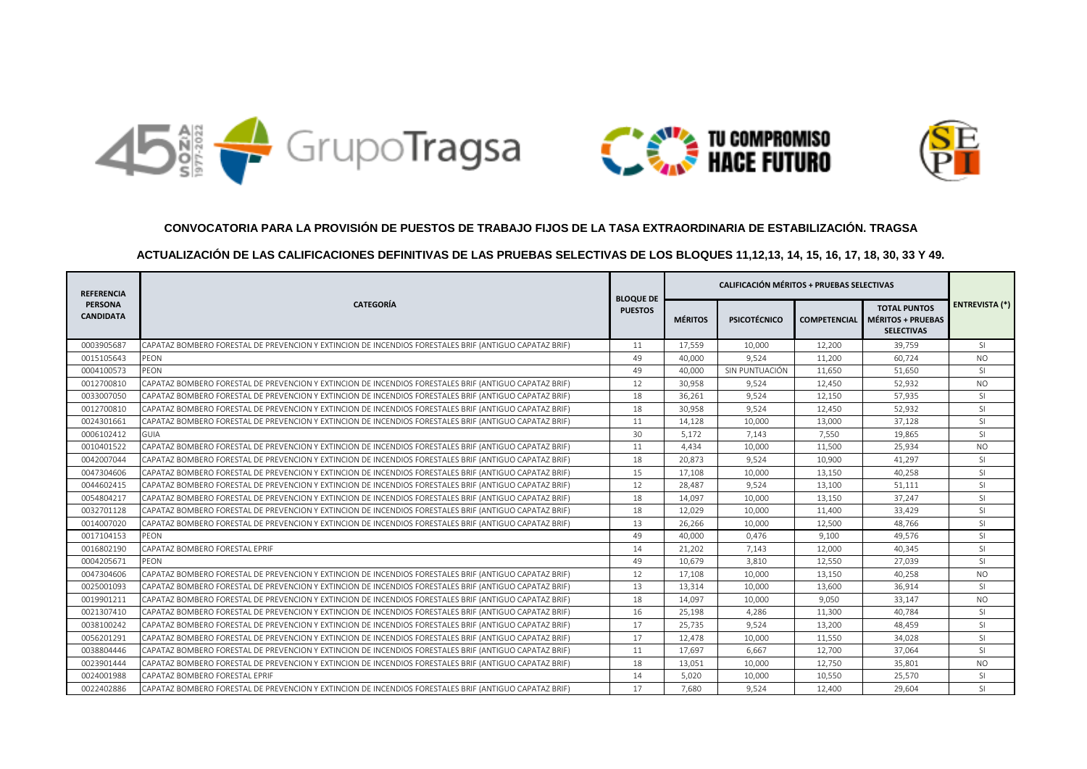





## **CONVOCATORIA PARA LA PROVISIÓN DE PUESTOS DE TRABAJO FIJOS DE LA TASA EXTRAORDINARIA DE ESTABILIZACIÓN. TRAGSA**

## **ACTUALIZACIÓN DE LAS CALIFICACIONES DEFINITIVAS DE LAS PRUEBAS SELECTIVAS DE LOS BLOQUES 11,12,13, 14, 15, 16, 17, 18, 30, 33 Y 49.**

| <b>REFERENCIA</b><br><b>PERSONA</b><br><b>CANDIDATA</b> | <b>CATEGORÍA</b>                                                                                       | <b>BLOQUE DE</b><br><b>PUESTOS</b> | <b>CALIFICACIÓN MÉRITOS + PRUEBAS SELECTIVAS</b> |                     |                     |                                                               |                       |
|---------------------------------------------------------|--------------------------------------------------------------------------------------------------------|------------------------------------|--------------------------------------------------|---------------------|---------------------|---------------------------------------------------------------|-----------------------|
|                                                         |                                                                                                        |                                    | <b>MÉRITOS</b>                                   | <b>PSICOTÉCNICO</b> | <b>COMPETENCIAL</b> | <b>TOTAL PUNTOS</b><br>MÉRITOS + PRUEBAS<br><b>SELECTIVAS</b> | <b>ENTREVISTA (*)</b> |
| 0003905687                                              | CAPATAZ BOMBERO FORESTAL DE PREVENCION Y EXTINCION DE INCENDIOS FORESTALES BRIF (ANTIGUO CAPATAZ BRIF) | 11                                 | 17,559                                           | 10,000              | 12,200              | 39,759                                                        | <sup>SI</sup>         |
| 0015105643                                              | PEON                                                                                                   | 49                                 | 40,000                                           | 9,524               | 11,200              | 60,724                                                        | <b>NO</b>             |
| 0004100573                                              | PEON                                                                                                   | 49                                 | 40,000                                           | SIN PUNTUACIÓN      | 11,650              | 51,650                                                        | <sup>SI</sup>         |
| 0012700810                                              | CAPATAZ BOMBERO FORESTAL DE PREVENCION Y EXTINCION DE INCENDIOS FORESTALES BRIF (ANTIGUO CAPATAZ BRIF) | 12                                 | 30,958                                           | 9,524               | 12,450              | 52,932                                                        | <b>NO</b>             |
| 0033007050                                              | CAPATAZ BOMBERO FORESTAL DE PREVENCION Y EXTINCION DE INCENDIOS FORESTALES BRIF (ANTIGUO CAPATAZ BRIF) | 18                                 | 36,261                                           | 9,524               | 12,150              | 57,935                                                        | SI                    |
| 0012700810                                              | CAPATAZ BOMBERO FORESTAL DE PREVENCION Y EXTINCION DE INCENDIOS FORESTALES BRIF (ANTIGUO CAPATAZ BRIF) | 18                                 | 30,958                                           | 9,524               | 12,450              | 52,932                                                        | SI                    |
| 0024301661                                              | CAPATAZ BOMBERO FORESTAL DE PREVENCION Y EXTINCION DE INCENDIOS FORESTALES BRIF (ANTIGUO CAPATAZ BRIF) | 11                                 | 14,128                                           | 10,000              | 13,000              | 37,128                                                        | <b>SI</b>             |
| 0006102412                                              | <b>GUIA</b>                                                                                            | 30                                 | 5,172                                            | 7,143               | 7,550               | 19,865                                                        | <sup>SI</sup>         |
| 0010401522                                              | CAPATAZ BOMBERO FORESTAL DE PREVENCION Y EXTINCION DE INCENDIOS FORESTALES BRIF (ANTIGUO CAPATAZ BRIF) | 11                                 | 4,434                                            | 10,000              | 11,500              | 25,934                                                        | <b>NO</b>             |
| 0042007044                                              | CAPATAZ BOMBERO FORESTAL DE PREVENCION Y EXTINCION DE INCENDIOS FORESTALES BRIF (ANTIGUO CAPATAZ BRIF) | 18                                 | 20,873                                           | 9,524               | 10,900              | 41,297                                                        | SI                    |
| 0047304606                                              | CAPATAZ BOMBERO FORESTAL DE PREVENCION Y EXTINCION DE INCENDIOS FORESTALES BRIF (ANTIGUO CAPATAZ BRIF) | 15                                 | 17,108                                           | 10,000              | 13,150              | 40,258                                                        | SI                    |
| 0044602415                                              | CAPATAZ BOMBERO FORESTAL DE PREVENCION Y EXTINCION DE INCENDIOS FORESTALES BRIF (ANTIGUO CAPATAZ BRIF) | 12                                 | 28,487                                           | 9,524               | 13,100              | 51,111                                                        | SI.                   |
| 0054804217                                              | CAPATAZ BOMBERO FORESTAL DE PREVENCION Y EXTINCION DE INCENDIOS FORESTALES BRIF (ANTIGUO CAPATAZ BRIF) | 18                                 | 14,097                                           | 10,000              | 13,150              | 37,247                                                        | SI                    |
| 0032701128                                              | CAPATAZ BOMBERO FORESTAL DE PREVENCION Y EXTINCION DE INCENDIOS FORESTALES BRIF (ANTIGUO CAPATAZ BRIF) | 18                                 | 12,029                                           | 10,000              | 11,400              | 33,429                                                        | SI                    |
| 0014007020                                              | CAPATAZ BOMBERO FORESTAL DE PREVENCION Y EXTINCION DE INCENDIOS FORESTALES BRIF (ANTIGUO CAPATAZ BRIF) | 13                                 | 26,266                                           | 10,000              | 12,500              | 48,766                                                        | SI.                   |
| 0017104153                                              | PEON                                                                                                   | 49                                 | 40,000                                           | 0,476               | 9,100               | 49,576                                                        | SI.                   |
| 0016802190                                              | CAPATAZ BOMBERO FORESTAL EPRIF                                                                         | 14                                 | 21,202                                           | 7,143               | 12,000              | 40,345                                                        | SI                    |
| 0004205671                                              | PEON                                                                                                   | 49                                 | 10,679                                           | 3,810               | 12,550              | 27,039                                                        | SI                    |
| 0047304606                                              | CAPATAZ BOMBERO FORESTAL DE PREVENCION Y EXTINCION DE INCENDIOS FORESTALES BRIF (ANTIGUO CAPATAZ BRIF) | 12                                 | 17,108                                           | 10,000              | 13,150              | 40,258                                                        | <b>NO</b>             |
| 0025001093                                              | CAPATAZ BOMBERO FORESTAL DE PREVENCION Y EXTINCION DE INCENDIOS FORESTALES BRIF (ANTIGUO CAPATAZ BRIF) | 13                                 | 13,314                                           | 10,000              | 13,600              | 36,914                                                        | <sup>SI</sup>         |
| 0019901211                                              | CAPATAZ BOMBERO FORESTAL DE PREVENCION Y EXTINCION DE INCENDIOS FORESTALES BRIF (ANTIGUO CAPATAZ BRIF) | 18                                 | 14,097                                           | 10,000              | 9,050               | 33,147                                                        | <b>NO</b>             |
| 0021307410                                              | CAPATAZ BOMBERO FORESTAL DE PREVENCION Y EXTINCION DE INCENDIOS FORESTALES BRIF (ANTIGUO CAPATAZ BRIF) | 16                                 | 25,198                                           | 4,286               | 11,300              | 40,784                                                        | <sup>SI</sup>         |
| 0038100242                                              | CAPATAZ BOMBERO FORESTAL DE PREVENCION Y EXTINCION DE INCENDIOS FORESTALES BRIF (ANTIGUO CAPATAZ BRIF) | 17                                 | 25,735                                           | 9,524               | 13,200              | 48,459                                                        | SI.                   |
| 0056201291                                              | CAPATAZ BOMBERO FORESTAL DE PREVENCION Y EXTINCION DE INCENDIOS FORESTALES BRIF (ANTIGUO CAPATAZ BRIF) | 17                                 | 12,478                                           | 10,000              | 11,550              | 34,028                                                        | <sup>SI</sup>         |
| 0038804446                                              | CAPATAZ BOMBERO FORESTAL DE PREVENCION Y EXTINCION DE INCENDIOS FORESTALES BRIF (ANTIGUO CAPATAZ BRIF) | 11                                 | 17,697                                           | 6,667               | 12,700              | 37,064                                                        | SI.                   |
| 0023901444                                              | CAPATAZ BOMBERO FORESTAL DE PREVENCION Y EXTINCION DE INCENDIOS FORESTALES BRIF (ANTIGUO CAPATAZ BRIF) | 18                                 | 13,051                                           | 10,000              | 12,750              | 35,801                                                        | <b>NO</b>             |
| 0024001988                                              | CAPATAZ BOMBERO FORESTAL EPRIF                                                                         | 14                                 | 5,020                                            | 10,000              | 10,550              | 25,570                                                        | <sup>SI</sup>         |
| 0022402886                                              | CAPATAZ BOMBERO FORESTAL DE PREVENCION Y EXTINCION DE INCENDIOS FORESTALES BRIF (ANTIGUO CAPATAZ BRIF) | 17                                 | 7.680                                            | 9.524               | 12,400              | 29.604                                                        | SI                    |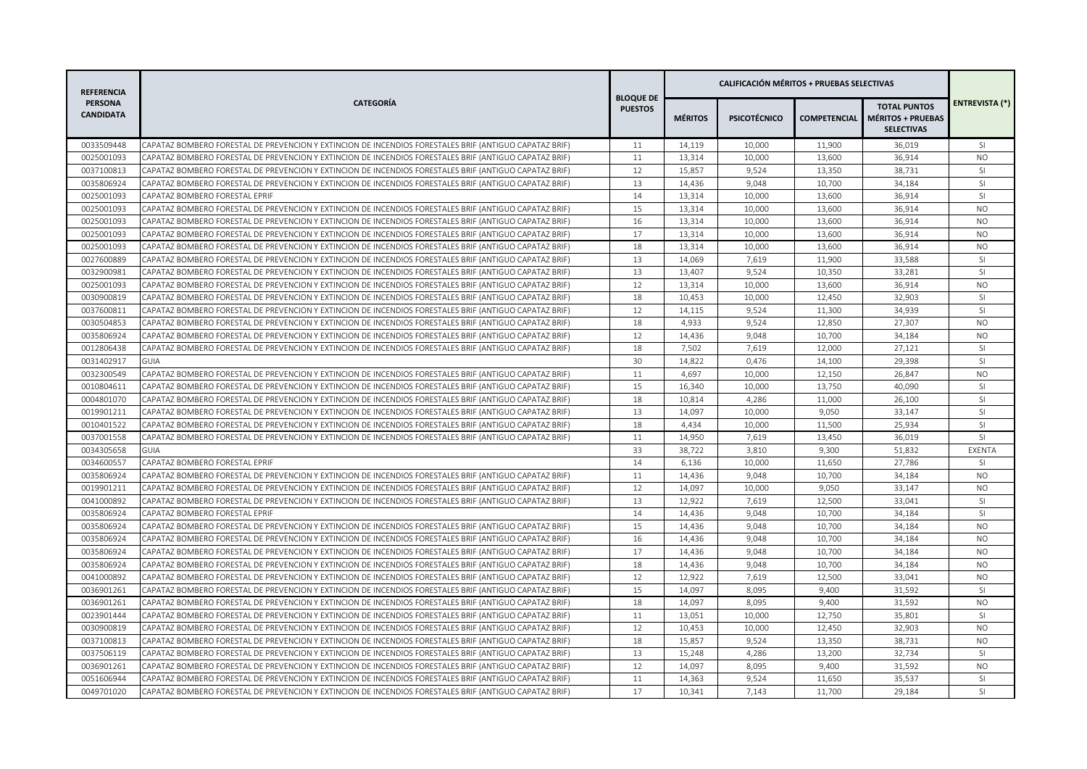| <b>REFERENCIA</b><br><b>PERSONA</b><br>CANDIDATA | <b>CATEGORÍA</b>                                                                                       | <b>BLOQUE DE</b><br><b>PUESTOS</b> |                |                     |        |                                                                                   |                       |
|--------------------------------------------------|--------------------------------------------------------------------------------------------------------|------------------------------------|----------------|---------------------|--------|-----------------------------------------------------------------------------------|-----------------------|
|                                                  |                                                                                                        |                                    | <b>MÉRITOS</b> | <b>PSICOTÉCNICO</b> |        | <b>TOTAL PUNTOS</b><br><b>COMPETENCIAL MÉRITOS + PRUEBAS</b><br><b>SELECTIVAS</b> | <b>ENTREVISTA (*)</b> |
| 0033509448                                       | CAPATAZ BOMBERO FORESTAL DE PREVENCION Y EXTINCION DE INCENDIOS FORESTALES BRIF (ANTIGUO CAPATAZ BRIF) | 11                                 | 14,119         | 10,000              | 11,900 | 36,019                                                                            | SI.                   |
| 0025001093                                       | CAPATAZ BOMBERO FORESTAL DE PREVENCION Y EXTINCION DE INCENDIOS FORESTALES BRIF (ANTIGUO CAPATAZ BRIF) | 11                                 | 13,314         | 10,000              | 13,600 | 36,914                                                                            | <b>NO</b>             |
| 0037100813                                       | CAPATAZ BOMBERO FORESTAL DE PREVENCION Y EXTINCION DE INCENDIOS FORESTALES BRIF (ANTIGUO CAPATAZ BRIF) | 12                                 | 15,857         | 9,524               | 13,350 | 38,731                                                                            | <sup>SI</sup>         |
| 0035806924                                       | CAPATAZ BOMBERO FORESTAL DE PREVENCION Y EXTINCION DE INCENDIOS FORESTALES BRIF (ANTIGUO CAPATAZ BRIF) | 13                                 | 14,436         | 9,048               | 10,700 | 34,184                                                                            | SI                    |
| 0025001093                                       | CAPATAZ BOMBERO FORESTAL EPRIF                                                                         | 14                                 | 13,314         | 10,000              | 13,600 | 36,914                                                                            | <sup>SI</sup>         |
| 0025001093                                       | CAPATAZ BOMBERO FORESTAL DE PREVENCION Y EXTINCION DE INCENDIOS FORESTALES BRIF (ANTIGUO CAPATAZ BRIF) | 15                                 | 13,314         | 10,000              | 13,600 | 36,914                                                                            | <b>NO</b>             |
| 0025001093                                       | CAPATAZ BOMBERO FORESTAL DE PREVENCION Y EXTINCION DE INCENDIOS FORESTALES BRIF (ANTIGUO CAPATAZ BRIF) | 16                                 | 13,314         | 10,000              | 13,600 | 36,914                                                                            | <b>NO</b>             |
| 0025001093                                       | CAPATAZ BOMBERO FORESTAL DE PREVENCION Y EXTINCION DE INCENDIOS FORESTALES BRIF (ANTIGUO CAPATAZ BRIF) | 17                                 | 13,314         | 10,000              | 13,600 | 36,914                                                                            | <b>NO</b>             |
| 0025001093                                       | CAPATAZ BOMBERO FORESTAL DE PREVENCION Y EXTINCION DE INCENDIOS FORESTALES BRIF (ANTIGUO CAPATAZ BRIF) | 18                                 | 13,314         | 10,000              | 13,600 | 36,914                                                                            | NO                    |
| 0027600889                                       | CAPATAZ BOMBERO FORESTAL DE PREVENCION Y EXTINCION DE INCENDIOS FORESTALES BRIF (ANTIGUO CAPATAZ BRIF) | 13                                 | 14,069         | 7,619               | 11,900 | 33,588                                                                            | SI                    |
| 0032900981                                       | CAPATAZ BOMBERO FORESTAL DE PREVENCION Y EXTINCION DE INCENDIOS FORESTALES BRIF (ANTIGUO CAPATAZ BRIF) | 13                                 | 13,407         | 9,524               | 10,350 | 33,281                                                                            | SI                    |
| 0025001093                                       | CAPATAZ BOMBERO FORESTAL DE PREVENCION Y EXTINCION DE INCENDIOS FORESTALES BRIF (ANTIGUO CAPATAZ BRIF) | 12                                 | 13,314         | 10,000              | 13,600 | 36,914                                                                            | <b>NO</b>             |
| 0030900819                                       | CAPATAZ BOMBERO FORESTAL DE PREVENCION Y EXTINCION DE INCENDIOS FORESTALES BRIF (ANTIGUO CAPATAZ BRIF) | 18                                 | 10,453         | 10,000              | 12,450 | 32,903                                                                            | SI                    |
| 0037600811                                       | CAPATAZ BOMBERO FORESTAL DE PREVENCION Y EXTINCION DE INCENDIOS FORESTALES BRIF (ANTIGUO CAPATAZ BRIF) | 12                                 | 14,115         | 9,524               | 11,300 | 34,939                                                                            | SI                    |
| 0030504853                                       | CAPATAZ BOMBERO FORESTAL DE PREVENCION Y EXTINCION DE INCENDIOS FORESTALES BRIF (ANTIGUO CAPATAZ BRIF) | 18                                 | 4,933          | 9,524               | 12,850 | 27,307                                                                            | <b>NO</b>             |
| 0035806924                                       | CAPATAZ BOMBERO FORESTAL DE PREVENCION Y EXTINCION DE INCENDIOS FORESTALES BRIF (ANTIGUO CAPATAZ BRIF) | 12                                 | 14,436         | 9,048               | 10,700 | 34,184                                                                            | <b>NO</b>             |
| 0012806438                                       | CAPATAZ BOMBERO FORESTAL DE PREVENCION Y EXTINCION DE INCENDIOS FORESTALES BRIF (ANTIGUO CAPATAZ BRIF) | 18                                 | 7,502          | 7,619               | 12,000 | 27,121                                                                            | SI                    |
| 0031402917                                       | <b>GUIA</b>                                                                                            | 30                                 | 14,822         | 0,476               | 14,100 | 29,398                                                                            | SI                    |
| 0032300549                                       | CAPATAZ BOMBERO FORESTAL DE PREVENCION Y EXTINCION DE INCENDIOS FORESTALES BRIF (ANTIGUO CAPATAZ BRIF) | 11                                 | 4,697          | 10,000              | 12,150 | 26,847                                                                            | <b>NO</b>             |
| 0010804611                                       | CAPATAZ BOMBERO FORESTAL DE PREVENCION Y EXTINCION DE INCENDIOS FORESTALES BRIF (ANTIGUO CAPATAZ BRIF) | 15                                 | 16,340         | 10,000              | 13,750 | 40,090                                                                            | SI                    |
| 0004801070                                       | CAPATAZ BOMBERO FORESTAL DE PREVENCION Y EXTINCION DE INCENDIOS FORESTALES BRIF (ANTIGUO CAPATAZ BRIF) | 18                                 | 10,814         | 4,286               | 11,000 | 26,100                                                                            | SI                    |
| 0019901211                                       | CAPATAZ BOMBERO FORESTAL DE PREVENCION Y EXTINCION DE INCENDIOS FORESTALES BRIF (ANTIGUO CAPATAZ BRIF) | 13                                 | 14,097         | 10,000              | 9,050  | 33,147                                                                            | <b>SI</b>             |
| 0010401522                                       | CAPATAZ BOMBERO FORESTAL DE PREVENCION Y EXTINCION DE INCENDIOS FORESTALES BRIF (ANTIGUO CAPATAZ BRIF) | 18                                 | 4,434          | 10,000              | 11,500 | 25,934                                                                            | SI                    |
| 0037001558                                       | CAPATAZ BOMBERO FORESTAL DE PREVENCION Y EXTINCION DE INCENDIOS FORESTALES BRIF (ANTIGUO CAPATAZ BRIF) | 11                                 | 14,950         | 7,619               | 13,450 | 36,019                                                                            | SI                    |
| 0034305658                                       | GUIA                                                                                                   | 33                                 | 38,722         | 3,810               | 9,300  | 51,832                                                                            | EXENTA                |
| 0034600557                                       | CAPATAZ BOMBERO FORESTAL EPRIF                                                                         | 14                                 | 6,136          | 10,000              | 11,650 | 27,786                                                                            | SI                    |
| 0035806924                                       | CAPATAZ BOMBERO FORESTAL DE PREVENCION Y EXTINCION DE INCENDIOS FORESTALES BRIF (ANTIGUO CAPATAZ BRIF) | 11                                 | 14,436         | 9,048               | 10,700 | 34,184                                                                            | <b>NO</b>             |
| 0019901211                                       | CAPATAZ BOMBERO FORESTAL DE PREVENCION Y EXTINCION DE INCENDIOS FORESTALES BRIF (ANTIGUO CAPATAZ BRIF) | 12                                 | 14,097         | 10,000              | 9,050  | 33,147                                                                            | <b>NO</b>             |
| 0041000892                                       | CAPATAZ BOMBERO FORESTAL DE PREVENCION Y EXTINCION DE INCENDIOS FORESTALES BRIF (ANTIGUO CAPATAZ BRIF) | 13                                 | 12,922         | 7,619               | 12,500 | 33,041                                                                            | SI                    |
| 0035806924                                       | CAPATAZ BOMBERO FORESTAL EPRIF                                                                         | 14                                 | 14,436         | 9,048               | 10,700 | 34,184                                                                            | SI                    |
| 0035806924                                       | CAPATAZ BOMBERO FORESTAL DE PREVENCION Y EXTINCION DE INCENDIOS FORESTALES BRIF (ANTIGUO CAPATAZ BRIF) | 15                                 | 14,436         | 9,048               | 10,700 | 34,184                                                                            | N <sub>O</sub>        |
| 0035806924                                       | CAPATAZ BOMBERO FORESTAL DE PREVENCION Y EXTINCION DE INCENDIOS FORESTALES BRIF (ANTIGUO CAPATAZ BRIF) | 16                                 | 14,436         | 9,048               | 10,700 | 34,184                                                                            | N <sub>O</sub>        |
| 0035806924                                       | CAPATAZ BOMBERO FORESTAL DE PREVENCION Y EXTINCION DE INCENDIOS FORESTALES BRIF (ANTIGUO CAPATAZ BRIF) | 17                                 | 14,436         | 9,048               | 10,700 | 34,184                                                                            | N <sub>O</sub>        |
| 0035806924                                       | CAPATAZ BOMBERO FORESTAL DE PREVENCION Y EXTINCION DE INCENDIOS FORESTALES BRIF (ANTIGUO CAPATAZ BRIF) | 18                                 | 14,436         | 9,048               | 10,700 | 34,184                                                                            | <b>NO</b>             |
| 0041000892                                       | CAPATAZ BOMBERO FORESTAL DE PREVENCION Y EXTINCION DE INCENDIOS FORESTALES BRIF (ANTIGUO CAPATAZ BRIF) | 12                                 | 12,922         | 7,619               | 12,500 | 33,041                                                                            | <b>NO</b>             |
| 0036901261                                       | CAPATAZ BOMBERO FORESTAL DE PREVENCION Y EXTINCION DE INCENDIOS FORESTALES BRIF (ANTIGUO CAPATAZ BRIF) | 15                                 | 14,097         | 8,095               | 9,400  | 31,592                                                                            | <sup>SI</sup>         |
| 0036901261                                       | CAPATAZ BOMBERO FORESTAL DE PREVENCION Y EXTINCION DE INCENDIOS FORESTALES BRIF (ANTIGUO CAPATAZ BRIF) | 18                                 | 14,097         | 8,095               | 9,400  | 31,592                                                                            | <b>NO</b>             |
| 0023901444                                       | CAPATAZ BOMBERO FORESTAL DE PREVENCION Y EXTINCION DE INCENDIOS FORESTALES BRIF (ANTIGUO CAPATAZ BRIF) | 11                                 | 13,051         | 10,000              | 12,750 | 35,801                                                                            | SI                    |
| 0030900819                                       | CAPATAZ BOMBERO FORESTAL DE PREVENCION Y EXTINCION DE INCENDIOS FORESTALES BRIF (ANTIGUO CAPATAZ BRIF) | 12                                 | 10,453         | 10,000              | 12,450 | 32,903                                                                            | <b>NO</b>             |
| 0037100813                                       | CAPATAZ BOMBERO FORESTAL DE PREVENCION Y EXTINCION DE INCENDIOS FORESTALES BRIF (ANTIGUO CAPATAZ BRIF) | 18                                 | 15,857         | 9,524               | 13,350 | 38,731                                                                            | <b>NO</b>             |
| 0037506119                                       | CAPATAZ BOMBERO FORESTAL DE PREVENCION Y EXTINCION DE INCENDIOS FORESTALES BRIF (ANTIGUO CAPATAZ BRIF) | 13                                 | 15,248         | 4,286               | 13,200 | 32,734                                                                            | SI.                   |
| 0036901261                                       | CAPATAZ BOMBERO FORESTAL DE PREVENCION Y EXTINCION DE INCENDIOS FORESTALES BRIF (ANTIGUO CAPATAZ BRIF) | 12                                 | 14,097         | 8,095               | 9,400  | 31,592                                                                            | <b>NO</b>             |
| 0051606944                                       | CAPATAZ BOMBERO FORESTAL DE PREVENCION Y EXTINCION DE INCENDIOS FORESTALES BRIF (ANTIGUO CAPATAZ BRIF) | 11                                 | 14,363         | 9,524               | 11,650 | 35,537                                                                            | SI                    |
| 0049701020                                       | CAPATAZ BOMBERO FORESTAL DE PREVENCION Y EXTINCION DE INCENDIOS FORESTALES BRIF (ANTIGUO CAPATAZ BRIF) | 17                                 | 10,341         | 7,143               | 11,700 | 29,184                                                                            | SI                    |